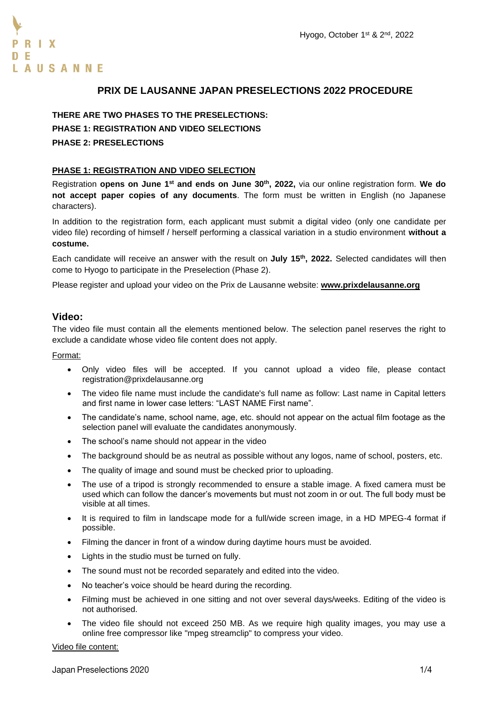

# **PRIX DE LAUSANNE JAPAN PRESELECTIONS 2022 PROCEDURE**

# **THERE ARE TWO PHASES TO THE PRESELECTIONS: PHASE 1: REGISTRATION AND VIDEO SELECTIONS PHASE 2: PRESELECTIONS**

## **PHASE 1: REGISTRATION AND VIDEO SELECTION**

Registration **opens on June 1st and ends on June 30th , 2022,** via our online registration form. **We do not accept paper copies of any documents**. The form must be written in English (no Japanese characters).

In addition to the registration form, each applicant must submit a digital video (only one candidate per video file) recording of himself / herself performing a classical variation in a studio environment **without a costume.**

Each candidate will receive an answer with the result on **July 15th, 2022.** Selected candidates will then come to Hyogo to participate in the Preselection (Phase 2).

Please register and upload your video on the Prix de Lausanne website: **[www.prixdelausanne.org](http://www.prixdelausanne.org/)**

# **Video:**

The video file must contain all the elements mentioned below. The selection panel reserves the right to exclude a candidate whose video file content does not apply.

Format:

- Only video files will be accepted. If you cannot upload a video file, please contact registration@prixdelausanne.org
- The video file name must include the candidate's full name as follow: Last name in Capital letters and first name in lower case letters: "LAST NAME First name".
- The candidate's name, school name, age, etc. should not appear on the actual film footage as the selection panel will evaluate the candidates anonymously.
- The school's name should not appear in the video
- The background should be as neutral as possible without any logos, name of school, posters, etc.
- The quality of image and sound must be checked prior to uploading.
- The use of a tripod is strongly recommended to ensure a stable image. A fixed camera must be used which can follow the dancer's movements but must not zoom in or out. The full body must be visible at all times.
- It is required to film in landscape mode for a full/wide screen image, in a HD MPEG-4 format if possible.
- Filming the dancer in front of a window during daytime hours must be avoided.
- Lights in the studio must be turned on fully.
- The sound must not be recorded separately and edited into the video.
- No teacher's voice should be heard during the recording.
- Filming must be achieved in one sitting and not over several days/weeks. Editing of the video is not authorised.
- The video file should not exceed 250 MB. As we require high quality images, you may use a online free compressor like "mpeg streamclip" to compress your video.

Video file content: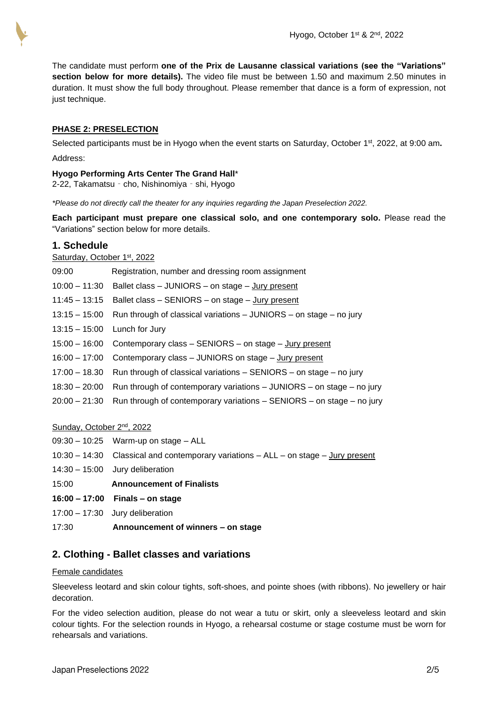The candidate must perform **one of the Prix de Lausanne classical variations (see the "Variations" section below for more details).** The video file must be between 1.50 and maximum 2.50 minutes in duration. It must show the full body throughout. Please remember that dance is a form of expression, not just technique.

## **PHASE 2: PRESELECTION**

Selected participants must be in Hyogo when the event starts on Saturday, October 1 st , 2022, at 9:00 am**.**  Address:

### **Hyogo Performing Arts Center The Grand Hall**\*

2-22, Takamatsu - cho, Nishinomiya - shi, Hyogo

*\*Please do not directly call the theater for any inquiries regarding the Japan Preselection 2022.*

**Each participant must prepare one classical solo, and one contemporary solo.** Please read the "Variations" section below for more details.

# **1. Schedule**

# Saturday, October 1st, 2022

| 09:00           | Registration, number and dressing room assignment                                   |
|-----------------|-------------------------------------------------------------------------------------|
| $10:00 - 11:30$ | Ballet class - JUNIORS - on stage - Jury present                                    |
| $11:45 - 13:15$ | Ballet class - SENIORS - on stage - Jury present                                    |
| 13:15 – 15:00   | Run through of classical variations - JUNIORS - on stage - no jury                  |
|                 | 13:15 - 15:00 Lunch for Jury                                                        |
|                 | 15:00 - 16:00 Contemporary class - SENIORS - on stage - Jury present                |
|                 | 16:00 - 17:00 Contemporary class - JUNIORS on stage - Jury present                  |
| 17:00 – 18.30   | Run through of classical variations $-$ SENIORS $-$ on stage $-$ no jury            |
|                 | 18:30 – 20:00 Run through of contemporary variations – JUNIORS – on stage – no jury |
|                 | 20:00 – 21:30 Run through of contemporary variations – SENIORS – on stage – no jury |
|                 |                                                                                     |

#### Sunday, October 2nd, 2022

|       | $09:30 - 10:25$ Warm-up on stage - ALL                                                   |
|-------|------------------------------------------------------------------------------------------|
|       | $10:30 - 14:30$ Classical and contemporary variations $-ALL$ - on stage $-$ Jury present |
|       | $14:30 - 15:00$ Jury deliberation                                                        |
| 15:00 | <b>Announcement of Finalists</b>                                                         |
|       | $16:00 - 17:00$ Finals – on stage                                                        |
|       | $17:00 - 17:30$ Jury deliberation                                                        |
| 17:30 | Announcement of winners - on stage                                                       |

# **2. Clothing - Ballet classes and variations**

#### Female candidates

Sleeveless leotard and skin colour tights, soft-shoes, and pointe shoes (with ribbons). No jewellery or hair decoration.

For the video selection audition, please do not wear a tutu or skirt, only a sleeveless leotard and skin colour tights. For the selection rounds in Hyogo, a rehearsal costume or stage costume must be worn for rehearsals and variations.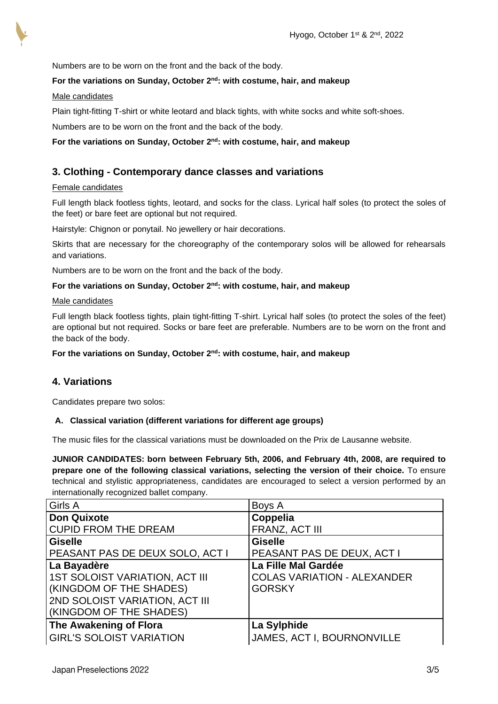

Numbers are to be worn on the front and the back of the body.

### **For the variations on Sunday, October 2nd: with costume, hair, and makeup**

#### Male candidates

Plain tight-fitting T-shirt or white leotard and black tights, with white socks and white soft-shoes.

Numbers are to be worn on the front and the back of the body.

## **For the variations on Sunday, October 2nd: with costume, hair, and makeup**

# **3. Clothing - Contemporary dance classes and variations**

#### Female candidates

Full length black footless tights, leotard, and socks for the class. Lyrical half soles (to protect the soles of the feet) or bare feet are optional but not required.

Hairstyle: Chignon or ponytail. No jewellery or hair decorations.

Skirts that are necessary for the choreography of the contemporary solos will be allowed for rehearsals and variations.

Numbers are to be worn on the front and the back of the body.

#### **For the variations on Sunday, October 2nd: with costume, hair, and makeup**

### Male candidates

Full length black footless tights, plain tight-fitting T-shirt. Lyrical half soles (to protect the soles of the feet) are optional but not required. Socks or bare feet are preferable. Numbers are to be worn on the front and the back of the body.

**For the variations on Sunday, October 2nd: with costume, hair, and makeup**

# **4. Variations**

Candidates prepare two solos:

#### **A. Classical variation (different variations for different age groups)**

The music files for the classical variations must be downloaded on the Prix de Lausanne website.

**JUNIOR CANDIDATES: born between February 5th, 2006, and February 4th, 2008, are required to prepare one of the following classical variations, selecting the version of their choice.** To ensure technical and stylistic appropriateness, candidates are encouraged to select a version performed by an internationally recognized ballet company.

| Girls A                                | Boys A                             |
|----------------------------------------|------------------------------------|
| Don Quixote                            | Coppelia                           |
| <b>CUPID FROM THE DREAM</b>            | FRANZ, ACT III                     |
| Giselle                                | <b>Giselle</b>                     |
| <b>PEASANT PAS DE DEUX SOLO, ACT I</b> | PEASANT PAS DE DEUX, ACT I         |
| La Bayadère                            | La Fille Mal Gardée                |
| <b>1ST SOLOIST VARIATION, ACT III</b>  | <b>COLAS VARIATION - ALEXANDER</b> |
| (KINGDOM OF THE SHADES)                | <b>GORSKY</b>                      |
| <b>2ND SOLOIST VARIATION, ACT III</b>  |                                    |
| (KINGDOM OF THE SHADES)                |                                    |
| The Awakening of Flora                 | La Sylphide                        |
| <b>GIRL'S SOLOIST VARIATION</b>        | JAMES, ACT I, BOURNONVILLE         |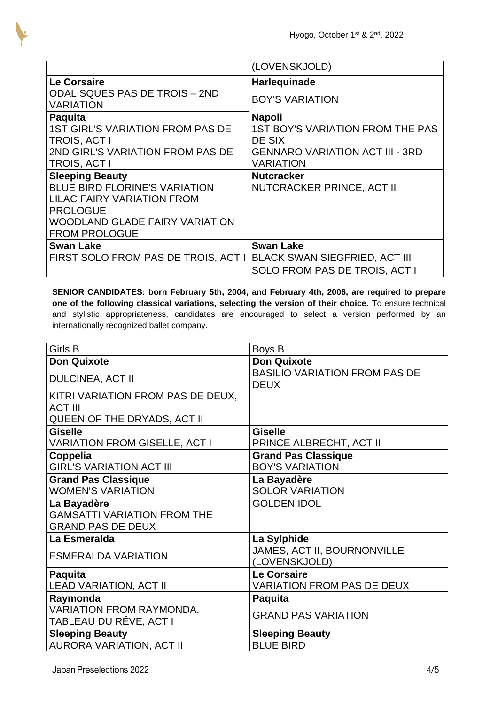|                                                          | (LOVENSKJOLD)                           |
|----------------------------------------------------------|-----------------------------------------|
| <b>Le Corsaire</b>                                       | Harlequinade                            |
| <b>ODALISQUES PAS DE TROIS - 2ND</b><br><b>VARIATION</b> | <b>BOY'S VARIATION</b>                  |
| <b>Paquita</b>                                           | <b>Napoli</b>                           |
| <b>1ST GIRL'S VARIATION FROM PAS DE</b>                  | <b>1ST BOY'S VARIATION FROM THE PAS</b> |
| <b>TROIS, ACT I</b>                                      | DE SIX                                  |
| 2ND GIRL'S VARIATION FROM PAS DE                         | <b>GENNARO VARIATION ACT III - 3RD</b>  |
| <b>TROIS, ACT I</b>                                      | <b>VARIATION</b>                        |
| <b>Sleeping Beauty</b>                                   | <b>Nutcracker</b>                       |
| BLUE BIRD FLORINE'S VARIATION                            | <b>NUTCRACKER PRINCE, ACT II</b>        |
| <b>LILAC FAIRY VARIATION FROM</b>                        |                                         |
| <b>PROLOGUE</b>                                          |                                         |
| <b>WOODLAND GLADE FAIRY VARIATION</b>                    |                                         |
| <b>FROM PROLOGUE</b>                                     |                                         |
| <b>Swan Lake</b>                                         | <b>Swan Lake</b>                        |
| FIRST SOLO FROM PAS DE TROIS, ACT I                      | <b>BLACK SWAN SIEGFRIED, ACT III</b>    |
|                                                          | SOLO FROM PAS DE TROIS, ACT I           |

**SENIOR CANDIDATES: born February 5th, 2004, and February 4th, 2006, are required to prepare one of the following classical variations, selecting the version of their choice.** To ensure technical and stylistic appropriateness, candidates are encouraged to select a version performed by an internationally recognized ballet company.

| Girls B                              | Boys B                                              |
|--------------------------------------|-----------------------------------------------------|
| <b>Don Quixote</b>                   | <b>Don Quixote</b>                                  |
| <b>DULCINEA, ACT II</b>              | <b>BASILIO VARIATION FROM PAS DE</b><br><b>DEUX</b> |
| KITRI VARIATION FROM PAS DE DEUX,    |                                                     |
| <b>ACT III</b>                       |                                                     |
| <b>QUEEN OF THE DRYADS, ACT II</b>   |                                                     |
| <b>Giselle</b>                       | <b>Giselle</b>                                      |
| <b>VARIATION FROM GISELLE, ACT I</b> | PRINCE ALBRECHT, ACT II                             |
| Coppelia                             | <b>Grand Pas Classique</b>                          |
| <b>GIRL'S VARIATION ACT III</b>      | <b>BOY'S VARIATION</b>                              |
| <b>Grand Pas Classique</b>           | La Bayadère                                         |
| <b>WOMEN'S VARIATION</b>             | <b>SOLOR VARIATION</b>                              |
| La Bayadère                          | <b>GOLDEN IDOL</b>                                  |
| <b>GAMSATTI VARIATION FROM THE</b>   |                                                     |
| <b>GRAND PAS DE DEUX</b>             |                                                     |
| La Esmeralda                         | La Sylphide                                         |
| <b>ESMERALDA VARIATION</b>           | JAMES, ACT II, BOURNONVILLE<br>(LOVENSKJOLD)        |
| <b>Paquita</b>                       | <b>Le Corsaire</b>                                  |
| <b>LEAD VARIATION, ACT II</b>        | <b>VARIATION FROM PAS DE DEUX</b>                   |
| Raymonda                             | <b>Paquita</b>                                      |
| <b>VARIATION FROM RAYMONDA,</b>      | <b>GRAND PAS VARIATION</b>                          |
| TABLEAU DU RÊVE, ACT I               |                                                     |
| <b>Sleeping Beauty</b>               | <b>Sleeping Beauty</b>                              |
| <b>AURORA VARIATION, ACT II</b>      | <b>BLUE BIRD</b>                                    |